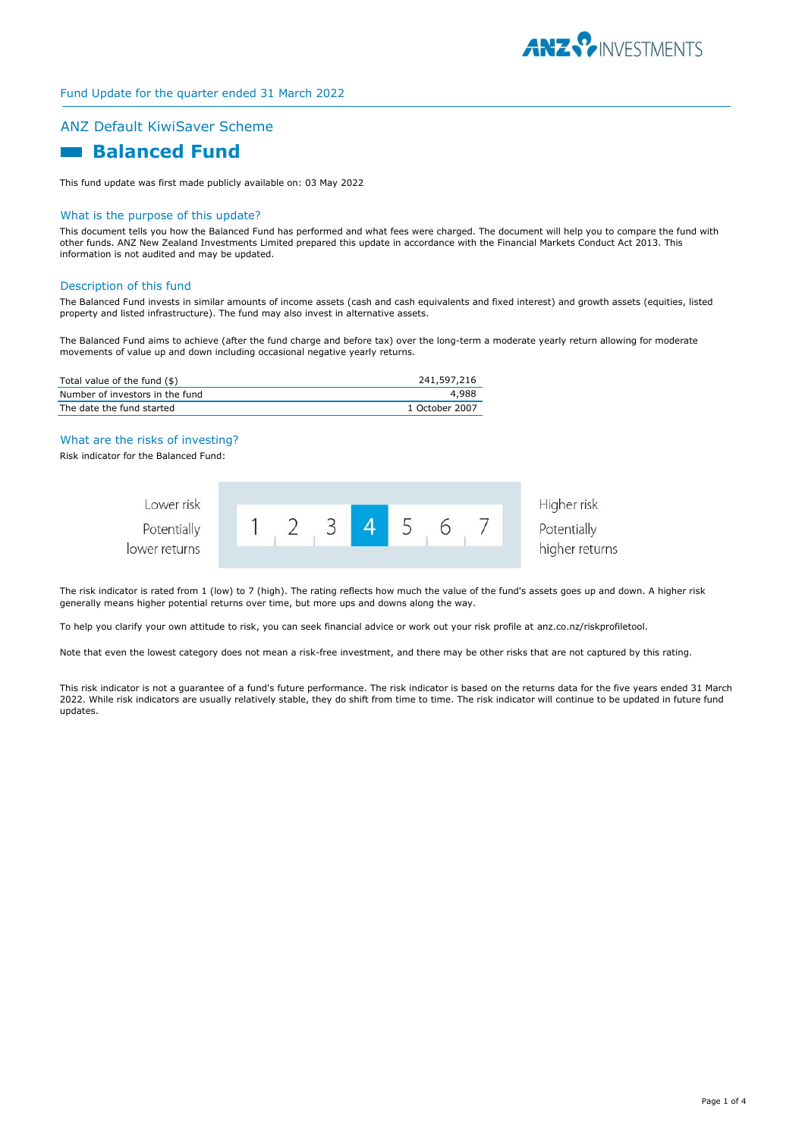

## ANZ Default KiwiSaver Scheme

# **Balanced Fund**

This fund update was first made publicly available on: 03 May 2022

#### What is the purpose of this update?

This document tells you how the Balanced Fund has performed and what fees were charged. The document will help you to compare the fund with other funds. ANZ New Zealand Investments Limited prepared this update in accordance with the Financial Markets Conduct Act 2013. This information is not audited and may be updated.

#### Description of this fund

The Balanced Fund invests in similar amounts of income assets (cash and cash equivalents and fixed interest) and growth assets (equities, listed property and listed infrastructure). The fund may also invest in alternative assets.

The Balanced Fund aims to achieve (after the fund charge and before tax) over the long-term a moderate yearly return allowing for moderate movements of value up and down including occasional negative yearly returns.

| Total value of the fund (\$)    | 241,597,216    |
|---------------------------------|----------------|
| Number of investors in the fund | 4.988          |
| The date the fund started       | 1 October 2007 |

#### What are the risks of investing?

Risk indicator for the Balanced Fund:

| Lower risk                   |  |  |  |  | Higher risk                   |
|------------------------------|--|--|--|--|-------------------------------|
| Potentially<br>lower returns |  |  |  |  | Potentially<br>higher returns |
|                              |  |  |  |  |                               |

The risk indicator is rated from 1 (low) to 7 (high). The rating reflects how much the value of the fund's assets goes up and down. A higher risk generally means higher potential returns over time, but more ups and downs along the way.

To help you clarify your own attitude to risk, you can seek financial advice or work out your risk profile at anz.co.nz/riskprofiletool.

Note that even the lowest category does not mean a risk-free investment, and there may be other risks that are not captured by this rating.

This risk indicator is not a guarantee of a fund's future performance. The risk indicator is based on the returns data for the five years ended 31 March 2022. While risk indicators are usually relatively stable, they do shift from time to time. The risk indicator will continue to be updated in future fund updates.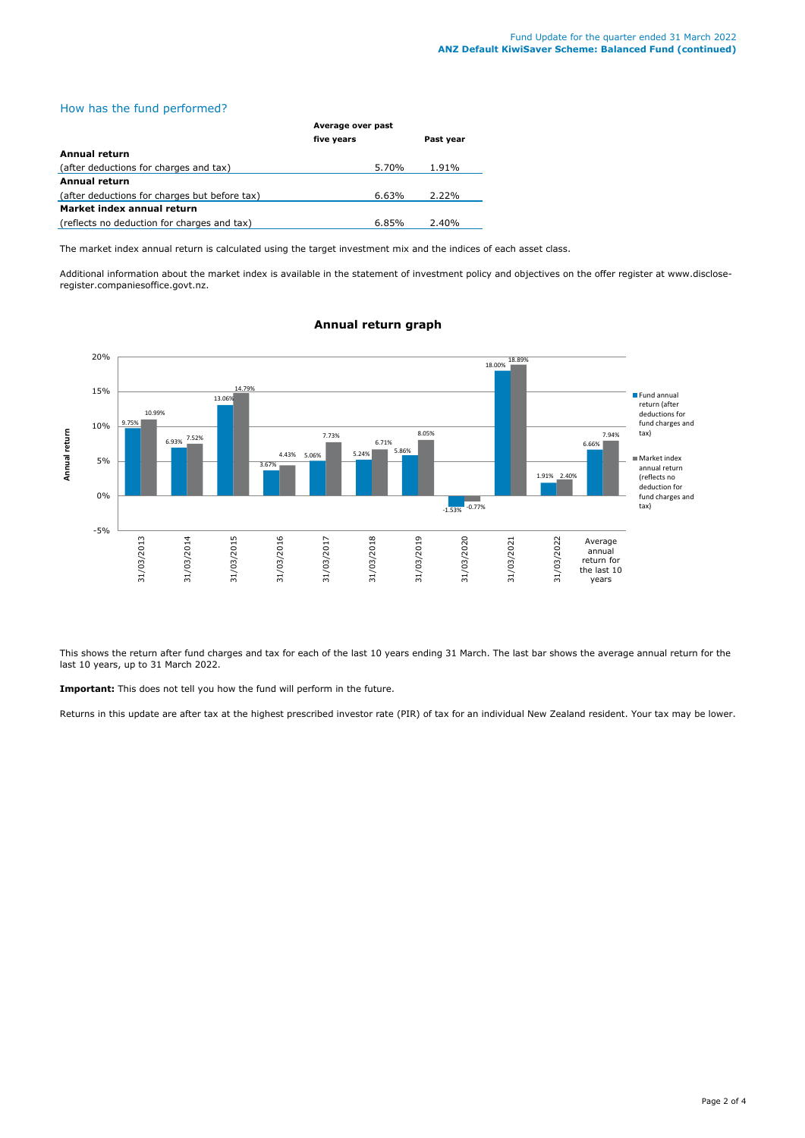### How has the fund performed?

|                                               | Average over past |           |  |
|-----------------------------------------------|-------------------|-----------|--|
|                                               | five years        | Past year |  |
| Annual return                                 |                   |           |  |
| (after deductions for charges and tax)        | 5.70%             | 1.91%     |  |
| <b>Annual return</b>                          |                   |           |  |
| (after deductions for charges but before tax) | 6.63%             | 2.22%     |  |
| Market index annual return                    |                   |           |  |
| (reflects no deduction for charges and tax)   | 6.85%             | 2.40%     |  |

The market index annual return is calculated using the target investment mix and the indices of each asset class.

Additional information about the market index is available in the statement of investment policy and objectives on the offer register at www.discloseregister.companiesoffice.govt.nz.



### **Annual return graph**

This shows the return after fund charges and tax for each of the last 10 years ending 31 March. The last bar shows the average annual return for the last 10 years, up to 31 March 2022.

**Important:** This does not tell you how the fund will perform in the future.

Returns in this update are after tax at the highest prescribed investor rate (PIR) of tax for an individual New Zealand resident. Your tax may be lower.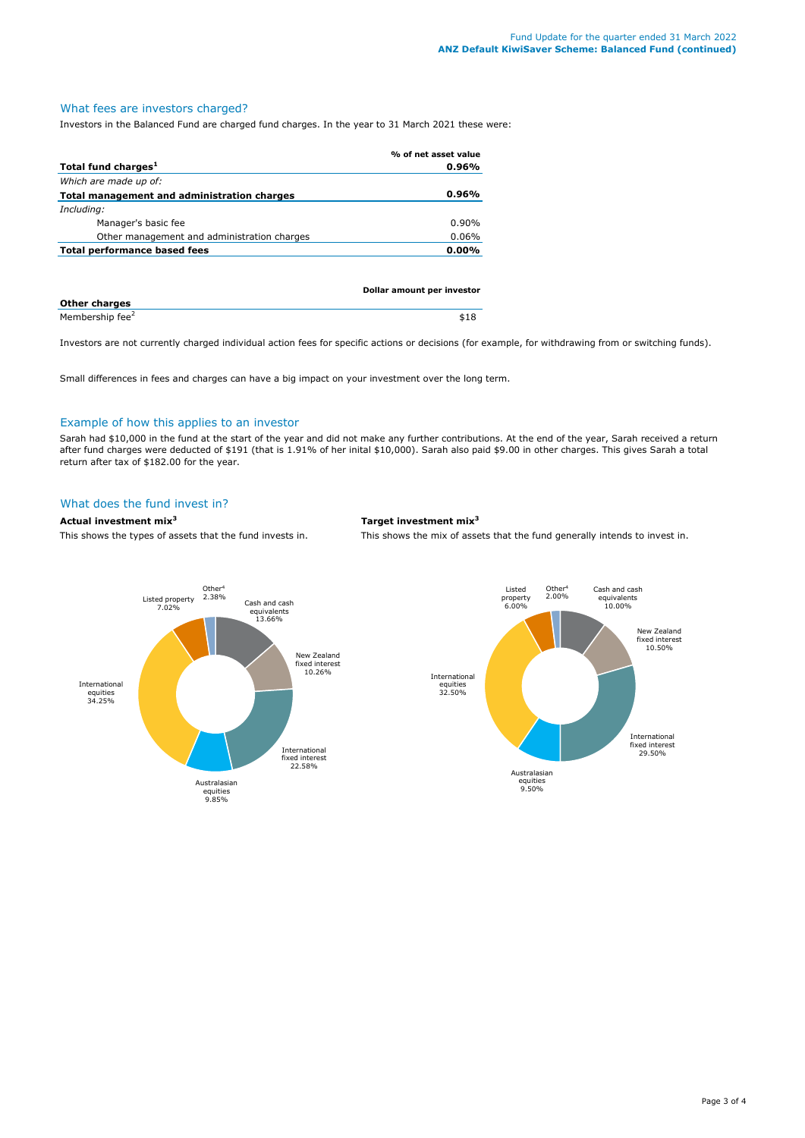# What fees are investors charged?

Investors in the Balanced Fund are charged fund charges. In the year to 31 March 2021 these were:

|                                             | % of net asset value |
|---------------------------------------------|----------------------|
| Total fund charges <sup>1</sup>             | $0.96\%$             |
| Which are made up of:                       |                      |
| Total management and administration charges | $0.96\%$             |
| Including:                                  |                      |
| Manager's basic fee                         | $0.90\%$             |
| Other management and administration charges | $0.06\%$             |
| Total performance based fees                | $0.00\%$             |
|                                             |                      |
|                                             |                      |

|                             | Dollar amount per investor |
|-----------------------------|----------------------------|
| <b>Other charges</b>        |                            |
| Membership fee <sup>2</sup> | \$18                       |

Investors are not currently charged individual action fees for specific actions or decisions (for example, for withdrawing from or switching funds).

Small differences in fees and charges can have a big impact on your investment over the long term.

### Example of how this applies to an investor

Sarah had \$10,000 in the fund at the start of the year and did not make any further contributions. At the end of the year, Sarah received a return after fund charges were deducted of \$191 (that is 1.91% of her inital \$10,000). Sarah also paid \$9.00 in other charges. This gives Sarah a total return after tax of \$182.00 for the year.

#### What does the fund invest in?

#### **Actual investment mix<sup>3</sup> Target investment mix<sup>3</sup>**

This shows the types of assets that the fund invests in. This shows the mix of assets that the fund generally intends to invest in.